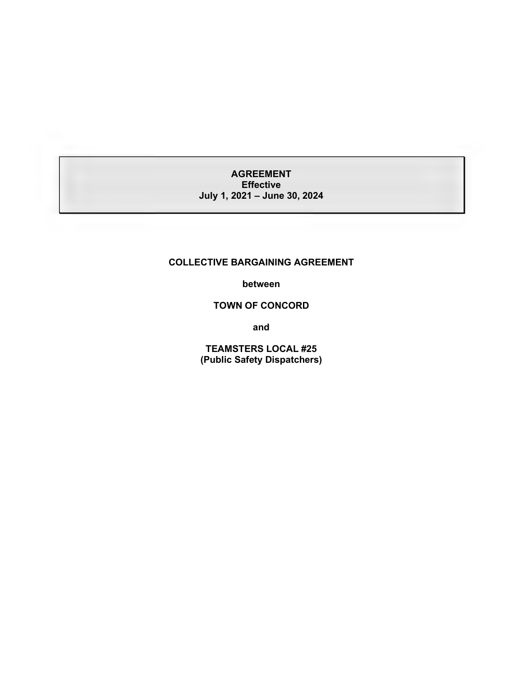## **AGREEMENT Effective July 1, 2021 – June 30, 2024**

#### **COLLECTIVE BARGAINING AGREEMENT**

**between**

## **TOWN OF CONCORD**

**and**

**TEAMSTERS LOCAL #25 (Public Safety Dispatchers)**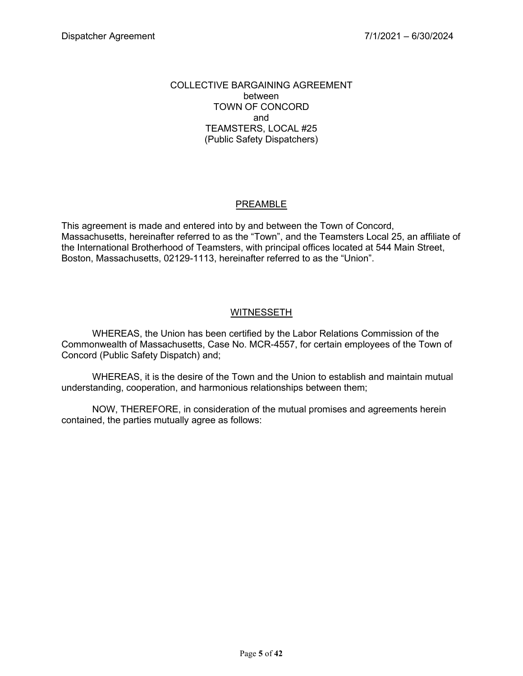#### COLLECTIVE BARGAINING AGREEMENT between TOWN OF CONCORD and TEAMSTERS, LOCAL #25 (Public Safety Dispatchers)

## PREAMBLE

This agreement is made and entered into by and between the Town of Concord, Massachusetts, hereinafter referred to as the "Town", and the Teamsters Local 25, an affiliate of the International Brotherhood of Teamsters, with principal offices located at 544 Main Street, Boston, Massachusetts, 02129-1113, hereinafter referred to as the "Union".

## **WITNESSETH**

WHEREAS, the Union has been certified by the Labor Relations Commission of the Commonwealth of Massachusetts, Case No. MCR-4557, for certain employees of the Town of Concord (Public Safety Dispatch) and;

WHEREAS, it is the desire of the Town and the Union to establish and maintain mutual understanding, cooperation, and harmonious relationships between them;

NOW, THEREFORE, in consideration of the mutual promises and agreements herein contained, the parties mutually agree as follows: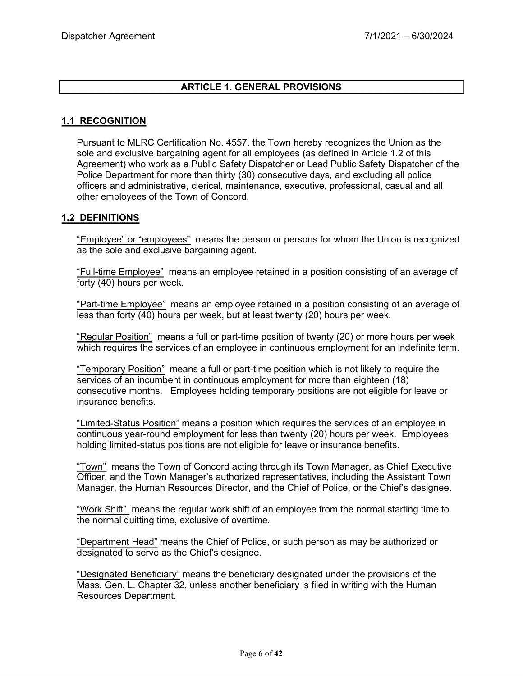## **ARTICLE 1. GENERAL PROVISIONS**

#### **1.1 RECOGNITION**

Pursuant to MLRC Certification No. 4557, the Town hereby recognizes the Union as the sole and exclusive bargaining agent for all employees (as defined in Article 1.2 of this Agreement) who work as a Public Safety Dispatcher or Lead Public Safety Dispatcher of the Police Department for more than thirty (30) consecutive days, and excluding all police officers and administrative, clerical, maintenance, executive, professional, casual and all other employees of the Town of Concord.

#### **1.2 DEFINITIONS**

"Employee" or "employees" means the person or persons for whom the Union is recognized as the sole and exclusive bargaining agent.

"Full-time Employee" means an employee retained in a position consisting of an average of forty (40) hours per week.

"Part-time Employee" means an employee retained in a position consisting of an average of less than forty (40) hours per week, but at least twenty (20) hours per week.

"Regular Position" means a full or part-time position of twenty (20) or more hours per week which requires the services of an employee in continuous employment for an indefinite term.

"Temporary Position" means a full or part-time position which is not likely to require the services of an incumbent in continuous employment for more than eighteen (18) consecutive months. Employees holding temporary positions are not eligible for leave or insurance benefits.

"Limited-Status Position" means a position which requires the services of an employee in continuous year-round employment for less than twenty (20) hours per week. Employees holding limited-status positions are not eligible for leave or insurance benefits.

"Town" means the Town of Concord acting through its Town Manager, as Chief Executive Officer, and the Town Manager's authorized representatives, including the Assistant Town Manager, the Human Resources Director, and the Chief of Police, or the Chief's designee.

"Work Shift" means the regular work shift of an employee from the normal starting time to the normal quitting time, exclusive of overtime.

"Department Head" means the Chief of Police, or such person as may be authorized or designated to serve as the Chief's designee.

"Designated Beneficiary" means the beneficiary designated under the provisions of the Mass. Gen. L. Chapter 32, unless another beneficiary is filed in writing with the Human Resources Department.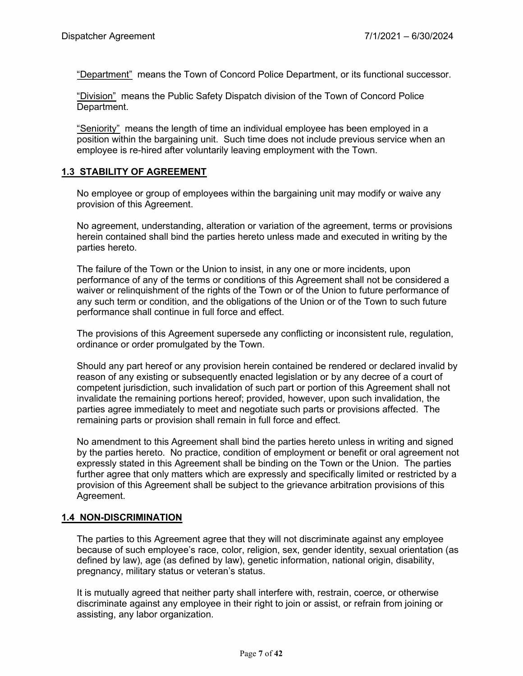"Department" means the Town of Concord Police Department, or its functional successor.

"Division" means the Public Safety Dispatch division of the Town of Concord Police Department.

"Seniority" means the length of time an individual employee has been employed in a position within the bargaining unit. Such time does not include previous service when an employee is re-hired after voluntarily leaving employment with the Town.

## **1.3 STABILITY OF AGREEMENT**

No employee or group of employees within the bargaining unit may modify or waive any provision of this Agreement.

No agreement, understanding, alteration or variation of the agreement, terms or provisions herein contained shall bind the parties hereto unless made and executed in writing by the parties hereto.

The failure of the Town or the Union to insist, in any one or more incidents, upon performance of any of the terms or conditions of this Agreement shall not be considered a waiver or relinquishment of the rights of the Town or of the Union to future performance of any such term or condition, and the obligations of the Union or of the Town to such future performance shall continue in full force and effect.

The provisions of this Agreement supersede any conflicting or inconsistent rule, regulation, ordinance or order promulgated by the Town.

Should any part hereof or any provision herein contained be rendered or declared invalid by reason of any existing or subsequently enacted legislation or by any decree of a court of competent jurisdiction, such invalidation of such part or portion of this Agreement shall not invalidate the remaining portions hereof; provided, however, upon such invalidation, the parties agree immediately to meet and negotiate such parts or provisions affected. The remaining parts or provision shall remain in full force and effect.

No amendment to this Agreement shall bind the parties hereto unless in writing and signed by the parties hereto. No practice, condition of employment or benefit or oral agreement not expressly stated in this Agreement shall be binding on the Town or the Union. The parties further agree that only matters which are expressly and specifically limited or restricted by a provision of this Agreement shall be subject to the grievance arbitration provisions of this Agreement.

### **1.4 NON-DISCRIMINATION**

The parties to this Agreement agree that they will not discriminate against any employee because of such employee's race, color, religion, sex, gender identity, sexual orientation (as defined by law), age (as defined by law), genetic information, national origin, disability, pregnancy, military status or veteran's status.

It is mutually agreed that neither party shall interfere with, restrain, coerce, or otherwise discriminate against any employee in their right to join or assist, or refrain from joining or assisting, any labor organization.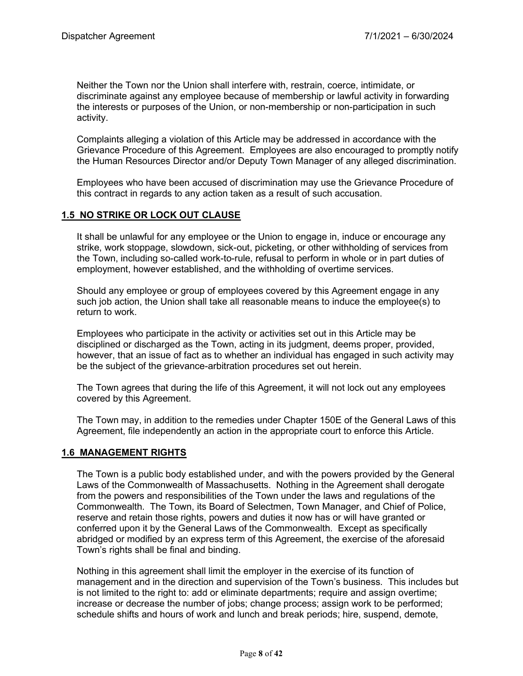Neither the Town nor the Union shall interfere with, restrain, coerce, intimidate, or discriminate against any employee because of membership or lawful activity in forwarding the interests or purposes of the Union, or non-membership or non-participation in such activity.

Complaints alleging a violation of this Article may be addressed in accordance with the Grievance Procedure of this Agreement. Employees are also encouraged to promptly notify the Human Resources Director and/or Deputy Town Manager of any alleged discrimination.

Employees who have been accused of discrimination may use the Grievance Procedure of this contract in regards to any action taken as a result of such accusation.

### **1.5 NO STRIKE OR LOCK OUT CLAUSE**

It shall be unlawful for any employee or the Union to engage in, induce or encourage any strike, work stoppage, slowdown, sick-out, picketing, or other withholding of services from the Town, including so-called work-to-rule, refusal to perform in whole or in part duties of employment, however established, and the withholding of overtime services.

Should any employee or group of employees covered by this Agreement engage in any such job action, the Union shall take all reasonable means to induce the employee(s) to return to work.

Employees who participate in the activity or activities set out in this Article may be disciplined or discharged as the Town, acting in its judgment, deems proper, provided, however, that an issue of fact as to whether an individual has engaged in such activity may be the subject of the grievance-arbitration procedures set out herein.

The Town agrees that during the life of this Agreement, it will not lock out any employees covered by this Agreement.

The Town may, in addition to the remedies under Chapter 150E of the General Laws of this Agreement, file independently an action in the appropriate court to enforce this Article.

### **1.6 MANAGEMENT RIGHTS**

The Town is a public body established under, and with the powers provided by the General Laws of the Commonwealth of Massachusetts. Nothing in the Agreement shall derogate from the powers and responsibilities of the Town under the laws and regulations of the Commonwealth. The Town, its Board of Selectmen, Town Manager, and Chief of Police, reserve and retain those rights, powers and duties it now has or will have granted or conferred upon it by the General Laws of the Commonwealth. Except as specifically abridged or modified by an express term of this Agreement, the exercise of the aforesaid Town's rights shall be final and binding.

Nothing in this agreement shall limit the employer in the exercise of its function of management and in the direction and supervision of the Town's business. This includes but is not limited to the right to: add or eliminate departments; require and assign overtime; increase or decrease the number of jobs; change process; assign work to be performed; schedule shifts and hours of work and lunch and break periods; hire, suspend, demote,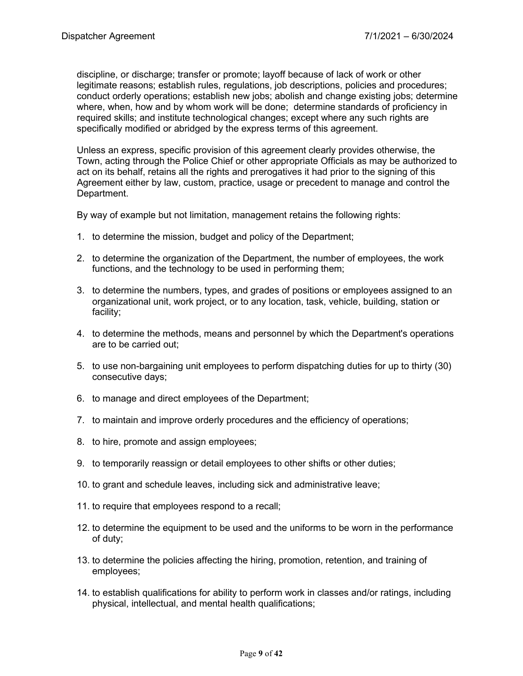discipline, or discharge; transfer or promote; layoff because of lack of work or other legitimate reasons; establish rules, regulations, job descriptions, policies and procedures; conduct orderly operations; establish new jobs; abolish and change existing jobs; determine where, when, how and by whom work will be done; determine standards of proficiency in required skills; and institute technological changes; except where any such rights are specifically modified or abridged by the express terms of this agreement.

Unless an express, specific provision of this agreement clearly provides otherwise, the Town, acting through the Police Chief or other appropriate Officials as may be authorized to act on its behalf, retains all the rights and prerogatives it had prior to the signing of this Agreement either by law, custom, practice, usage or precedent to manage and control the Department.

By way of example but not limitation, management retains the following rights:

- 1. to determine the mission, budget and policy of the Department;
- 2. to determine the organization of the Department, the number of employees, the work functions, and the technology to be used in performing them;
- 3. to determine the numbers, types, and grades of positions or employees assigned to an organizational unit, work project, or to any location, task, vehicle, building, station or facility;
- 4. to determine the methods, means and personnel by which the Department's operations are to be carried out;
- 5. to use non-bargaining unit employees to perform dispatching duties for up to thirty (30) consecutive days;
- 6. to manage and direct employees of the Department;
- 7. to maintain and improve orderly procedures and the efficiency of operations;
- 8. to hire, promote and assign employees;
- 9. to temporarily reassign or detail employees to other shifts or other duties;
- 10. to grant and schedule leaves, including sick and administrative leave;
- 11. to require that employees respond to a recall;
- 12. to determine the equipment to be used and the uniforms to be worn in the performance of duty;
- 13. to determine the policies affecting the hiring, promotion, retention, and training of employees;
- 14. to establish qualifications for ability to perform work in classes and/or ratings, including physical, intellectual, and mental health qualifications;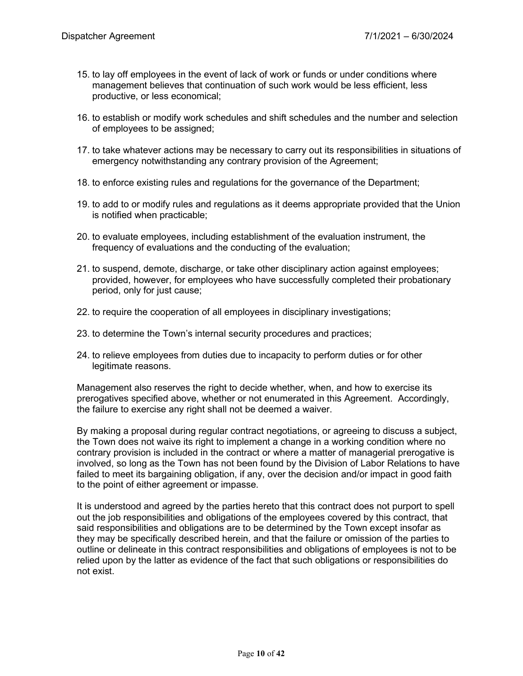- 15. to lay off employees in the event of lack of work or funds or under conditions where management believes that continuation of such work would be less efficient, less productive, or less economical;
- 16. to establish or modify work schedules and shift schedules and the number and selection of employees to be assigned;
- 17. to take whatever actions may be necessary to carry out its responsibilities in situations of emergency notwithstanding any contrary provision of the Agreement;
- 18. to enforce existing rules and regulations for the governance of the Department;
- 19. to add to or modify rules and regulations as it deems appropriate provided that the Union is notified when practicable;
- 20. to evaluate employees, including establishment of the evaluation instrument, the frequency of evaluations and the conducting of the evaluation;
- 21. to suspend, demote, discharge, or take other disciplinary action against employees; provided, however, for employees who have successfully completed their probationary period, only for just cause;
- 22. to require the cooperation of all employees in disciplinary investigations;
- 23. to determine the Town's internal security procedures and practices;
- 24. to relieve employees from duties due to incapacity to perform duties or for other legitimate reasons.

Management also reserves the right to decide whether, when, and how to exercise its prerogatives specified above, whether or not enumerated in this Agreement. Accordingly, the failure to exercise any right shall not be deemed a waiver.

By making a proposal during regular contract negotiations, or agreeing to discuss a subject, the Town does not waive its right to implement a change in a working condition where no contrary provision is included in the contract or where a matter of managerial prerogative is involved, so long as the Town has not been found by the Division of Labor Relations to have failed to meet its bargaining obligation, if any, over the decision and/or impact in good faith to the point of either agreement or impasse.

It is understood and agreed by the parties hereto that this contract does not purport to spell out the job responsibilities and obligations of the employees covered by this contract, that said responsibilities and obligations are to be determined by the Town except insofar as they may be specifically described herein, and that the failure or omission of the parties to outline or delineate in this contract responsibilities and obligations of employees is not to be relied upon by the latter as evidence of the fact that such obligations or responsibilities do not exist.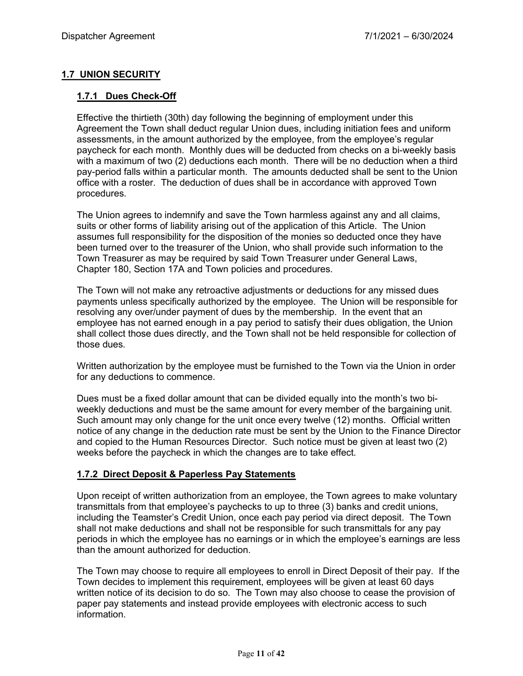## **1.7 UNION SECURITY**

## **1.7.1 Dues Check-Off**

Effective the thirtieth (30th) day following the beginning of employment under this Agreement the Town shall deduct regular Union dues, including initiation fees and uniform assessments, in the amount authorized by the employee, from the employee's regular paycheck for each month. Monthly dues will be deducted from checks on a bi-weekly basis with a maximum of two (2) deductions each month. There will be no deduction when a third pay-period falls within a particular month. The amounts deducted shall be sent to the Union office with a roster. The deduction of dues shall be in accordance with approved Town procedures.

The Union agrees to indemnify and save the Town harmless against any and all claims, suits or other forms of liability arising out of the application of this Article. The Union assumes full responsibility for the disposition of the monies so deducted once they have been turned over to the treasurer of the Union, who shall provide such information to the Town Treasurer as may be required by said Town Treasurer under General Laws, Chapter 180, Section 17A and Town policies and procedures.

The Town will not make any retroactive adjustments or deductions for any missed dues payments unless specifically authorized by the employee. The Union will be responsible for resolving any over/under payment of dues by the membership. In the event that an employee has not earned enough in a pay period to satisfy their dues obligation, the Union shall collect those dues directly, and the Town shall not be held responsible for collection of those dues.

Written authorization by the employee must be furnished to the Town via the Union in order for any deductions to commence.

Dues must be a fixed dollar amount that can be divided equally into the month's two biweekly deductions and must be the same amount for every member of the bargaining unit. Such amount may only change for the unit once every twelve (12) months. Official written notice of any change in the deduction rate must be sent by the Union to the Finance Director and copied to the Human Resources Director. Such notice must be given at least two (2) weeks before the paycheck in which the changes are to take effect.

### **1.7.2 Direct Deposit & Paperless Pay Statements**

Upon receipt of written authorization from an employee, the Town agrees to make voluntary transmittals from that employee's paychecks to up to three (3) banks and credit unions, including the Teamster's Credit Union, once each pay period via direct deposit. The Town shall not make deductions and shall not be responsible for such transmittals for any pay periods in which the employee has no earnings or in which the employee's earnings are less than the amount authorized for deduction.

The Town may choose to require all employees to enroll in Direct Deposit of their pay. If the Town decides to implement this requirement, employees will be given at least 60 days written notice of its decision to do so. The Town may also choose to cease the provision of paper pay statements and instead provide employees with electronic access to such information.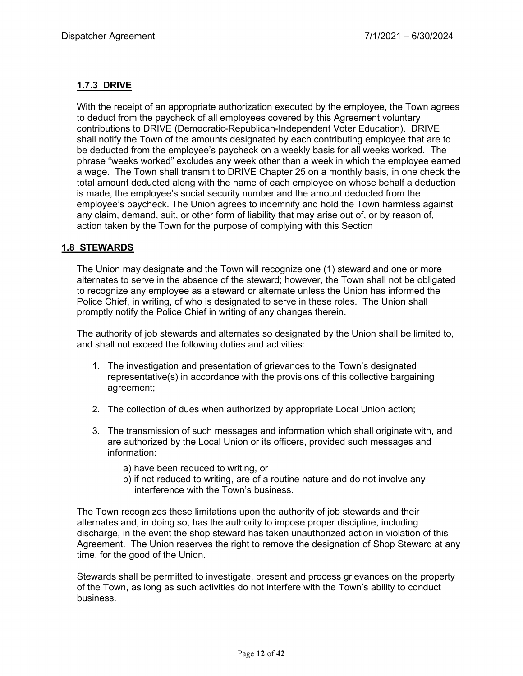## **1.7.3 DRIVE**

With the receipt of an appropriate authorization executed by the employee, the Town agrees to deduct from the paycheck of all employees covered by this Agreement voluntary contributions to DRIVE (Democratic-Republican-Independent Voter Education). DRIVE shall notify the Town of the amounts designated by each contributing employee that are to be deducted from the employee's paycheck on a weekly basis for all weeks worked. The phrase "weeks worked" excludes any week other than a week in which the employee earned a wage. The Town shall transmit to DRIVE Chapter 25 on a monthly basis, in one check the total amount deducted along with the name of each employee on whose behalf a deduction is made, the employee's social security number and the amount deducted from the employee's paycheck. The Union agrees to indemnify and hold the Town harmless against any claim, demand, suit, or other form of liability that may arise out of, or by reason of, action taken by the Town for the purpose of complying with this Section

## **1.8 STEWARDS**

The Union may designate and the Town will recognize one (1) steward and one or more alternates to serve in the absence of the steward; however, the Town shall not be obligated to recognize any employee as a steward or alternate unless the Union has informed the Police Chief, in writing, of who is designated to serve in these roles. The Union shall promptly notify the Police Chief in writing of any changes therein.

The authority of job stewards and alternates so designated by the Union shall be limited to, and shall not exceed the following duties and activities:

- 1. The investigation and presentation of grievances to the Town's designated representative(s) in accordance with the provisions of this collective bargaining agreement;
- 2. The collection of dues when authorized by appropriate Local Union action;
- 3. The transmission of such messages and information which shall originate with, and are authorized by the Local Union or its officers, provided such messages and information:
	- a) have been reduced to writing, or
	- b) if not reduced to writing, are of a routine nature and do not involve any interference with the Town's business.

The Town recognizes these limitations upon the authority of job stewards and their alternates and, in doing so, has the authority to impose proper discipline, including discharge, in the event the shop steward has taken unauthorized action in violation of this Agreement. The Union reserves the right to remove the designation of Shop Steward at any time, for the good of the Union.

Stewards shall be permitted to investigate, present and process grievances on the property of the Town, as long as such activities do not interfere with the Town's ability to conduct business.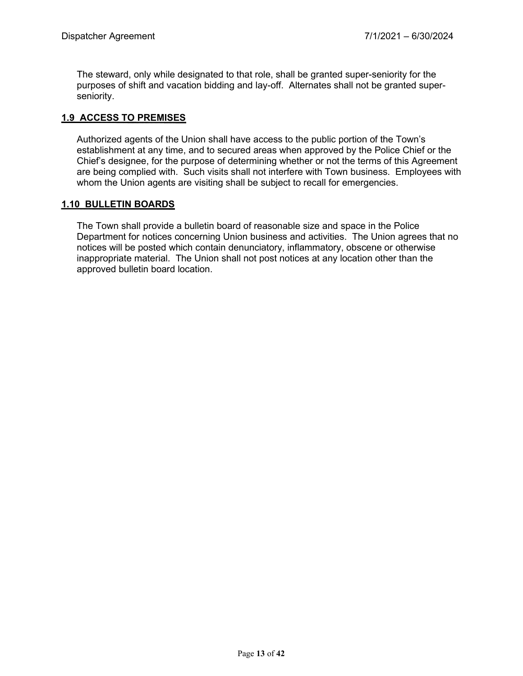The steward, only while designated to that role, shall be granted super-seniority for the purposes of shift and vacation bidding and lay-off. Alternates shall not be granted superseniority.

## **1.9 ACCESS TO PREMISES**

Authorized agents of the Union shall have access to the public portion of the Town's establishment at any time, and to secured areas when approved by the Police Chief or the Chief's designee, for the purpose of determining whether or not the terms of this Agreement are being complied with. Such visits shall not interfere with Town business. Employees with whom the Union agents are visiting shall be subject to recall for emergencies.

## **1.10 BULLETIN BOARDS**

The Town shall provide a bulletin board of reasonable size and space in the Police Department for notices concerning Union business and activities. The Union agrees that no notices will be posted which contain denunciatory, inflammatory, obscene or otherwise inappropriate material. The Union shall not post notices at any location other than the approved bulletin board location.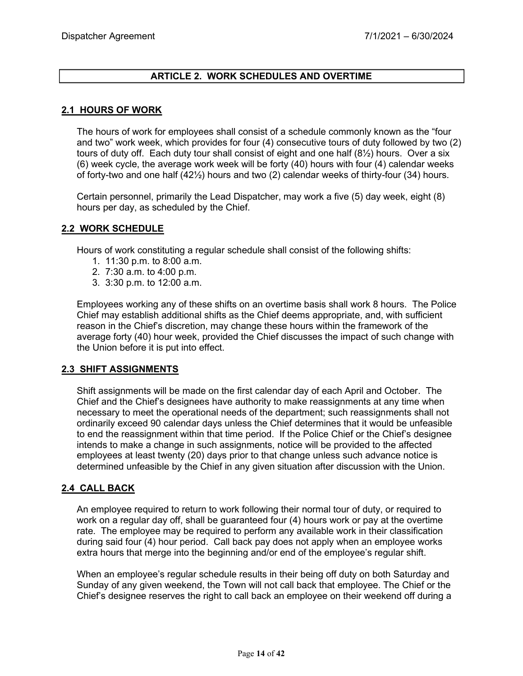## **ARTICLE 2. WORK SCHEDULES AND OVERTIME**

#### **2.1 HOURS OF WORK**

The hours of work for employees shall consist of a schedule commonly known as the "four and two" work week, which provides for four (4) consecutive tours of duty followed by two (2) tours of duty off. Each duty tour shall consist of eight and one half (8½) hours. Over a six (6) week cycle, the average work week will be forty (40) hours with four (4) calendar weeks of forty-two and one half (42½) hours and two (2) calendar weeks of thirty-four (34) hours.

Certain personnel, primarily the Lead Dispatcher, may work a five (5) day week, eight (8) hours per day, as scheduled by the Chief.

#### **2.2 WORK SCHEDULE**

Hours of work constituting a regular schedule shall consist of the following shifts:

- 1. 11:30 p.m. to 8:00 a.m.
- 2. 7:30 a.m. to 4:00 p.m.
- 3. 3:30 p.m. to 12:00 a.m.

Employees working any of these shifts on an overtime basis shall work 8 hours. The Police Chief may establish additional shifts as the Chief deems appropriate, and, with sufficient reason in the Chief's discretion, may change these hours within the framework of the average forty (40) hour week, provided the Chief discusses the impact of such change with the Union before it is put into effect.

### **2.3 SHIFT ASSIGNMENTS**

Shift assignments will be made on the first calendar day of each April and October. The Chief and the Chief's designees have authority to make reassignments at any time when necessary to meet the operational needs of the department; such reassignments shall not ordinarily exceed 90 calendar days unless the Chief determines that it would be unfeasible to end the reassignment within that time period. If the Police Chief or the Chief's designee intends to make a change in such assignments, notice will be provided to the affected employees at least twenty (20) days prior to that change unless such advance notice is determined unfeasible by the Chief in any given situation after discussion with the Union.

### **2.4 CALL BACK**

An employee required to return to work following their normal tour of duty, or required to work on a regular day off, shall be guaranteed four (4) hours work or pay at the overtime rate. The employee may be required to perform any available work in their classification during said four (4) hour period. Call back pay does not apply when an employee works extra hours that merge into the beginning and/or end of the employee's regular shift.

When an employee's regular schedule results in their being off duty on both Saturday and Sunday of any given weekend, the Town will not call back that employee. The Chief or the Chief's designee reserves the right to call back an employee on their weekend off during a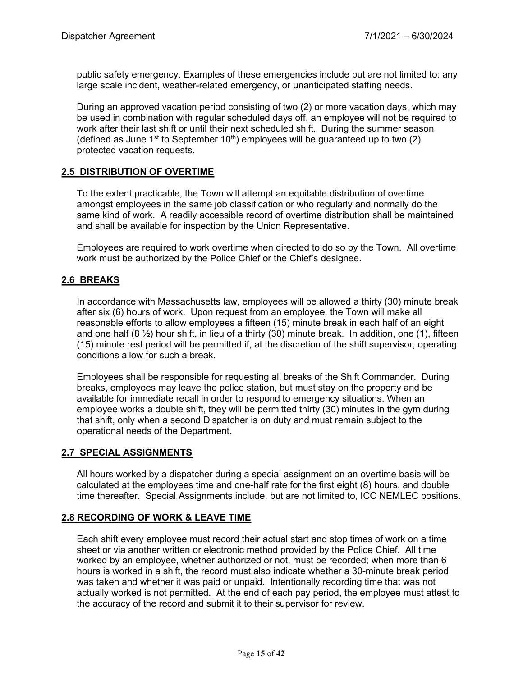public safety emergency. Examples of these emergencies include but are not limited to: any large scale incident, weather-related emergency, or unanticipated staffing needs.

During an approved vacation period consisting of two (2) or more vacation days, which may be used in combination with regular scheduled days off, an employee will not be required to work after their last shift or until their next scheduled shift. During the summer season (defined as June 1<sup>st</sup> to September 10<sup>th</sup>) employees will be guaranteed up to two (2) protected vacation requests.

### **2.5 DISTRIBUTION OF OVERTIME**

To the extent practicable, the Town will attempt an equitable distribution of overtime amongst employees in the same job classification or who regularly and normally do the same kind of work. A readily accessible record of overtime distribution shall be maintained and shall be available for inspection by the Union Representative.

Employees are required to work overtime when directed to do so by the Town. All overtime work must be authorized by the Police Chief or the Chief's designee.

### **2.6 BREAKS**

In accordance with Massachusetts law, employees will be allowed a thirty (30) minute break after six (6) hours of work. Upon request from an employee, the Town will make all reasonable efforts to allow employees a fifteen (15) minute break in each half of an eight and one half  $(8 \frac{1}{2})$  hour shift, in lieu of a thirty (30) minute break. In addition, one (1), fifteen (15) minute rest period will be permitted if, at the discretion of the shift supervisor, operating conditions allow for such a break.

Employees shall be responsible for requesting all breaks of the Shift Commander. During breaks, employees may leave the police station, but must stay on the property and be available for immediate recall in order to respond to emergency situations. When an employee works a double shift, they will be permitted thirty (30) minutes in the gym during that shift, only when a second Dispatcher is on duty and must remain subject to the operational needs of the Department.

#### **2.7 SPECIAL ASSIGNMENTS**

All hours worked by a dispatcher during a special assignment on an overtime basis will be calculated at the employees time and one-half rate for the first eight (8) hours, and double time thereafter. Special Assignments include, but are not limited to, ICC NEMLEC positions.

### **2.8 RECORDING OF WORK & LEAVE TIME**

Each shift every employee must record their actual start and stop times of work on a time sheet or via another written or electronic method provided by the Police Chief. All time worked by an employee, whether authorized or not, must be recorded; when more than 6 hours is worked in a shift, the record must also indicate whether a 30-minute break period was taken and whether it was paid or unpaid. Intentionally recording time that was not actually worked is not permitted. At the end of each pay period, the employee must attest to the accuracy of the record and submit it to their supervisor for review.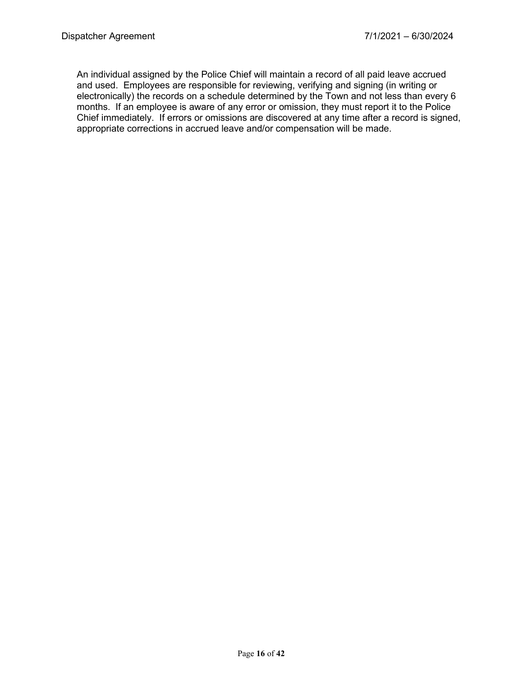An individual assigned by the Police Chief will maintain a record of all paid leave accrued and used. Employees are responsible for reviewing, verifying and signing (in writing or electronically) the records on a schedule determined by the Town and not less than every 6 months. If an employee is aware of any error or omission, they must report it to the Police Chief immediately. If errors or omissions are discovered at any time after a record is signed, appropriate corrections in accrued leave and/or compensation will be made.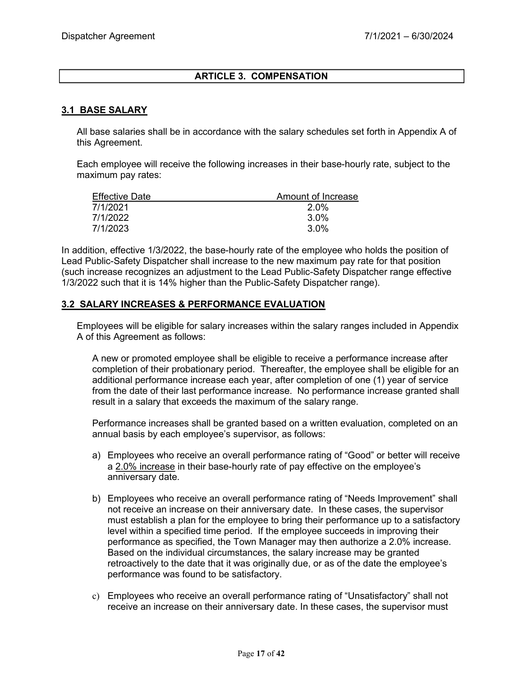## **ARTICLE 3. COMPENSATION**

### **3.1 BASE SALARY**

All base salaries shall be in accordance with the salary schedules set forth in Appendix A of this Agreement.

Each employee will receive the following increases in their base-hourly rate, subject to the maximum pay rates:

| <b>Effective Date</b> | Amount of Increase |
|-----------------------|--------------------|
| 7/1/2021              | 2.0%               |
| 7/1/2022              | 3.0%               |
| 7/1/2023              | 3.0%               |

In addition, effective 1/3/2022, the base-hourly rate of the employee who holds the position of Lead Public-Safety Dispatcher shall increase to the new maximum pay rate for that position (such increase recognizes an adjustment to the Lead Public-Safety Dispatcher range effective 1/3/2022 such that it is 14% higher than the Public-Safety Dispatcher range).

#### **3.2 SALARY INCREASES & PERFORMANCE EVALUATION**

Employees will be eligible for salary increases within the salary ranges included in Appendix A of this Agreement as follows:

A new or promoted employee shall be eligible to receive a performance increase after completion of their probationary period. Thereafter, the employee shall be eligible for an additional performance increase each year, after completion of one (1) year of service from the date of their last performance increase. No performance increase granted shall result in a salary that exceeds the maximum of the salary range.

Performance increases shall be granted based on a written evaluation, completed on an annual basis by each employee's supervisor, as follows:

- a) Employees who receive an overall performance rating of "Good" or better will receive a 2.0% increase in their base-hourly rate of pay effective on the employee's anniversary date.
- b) Employees who receive an overall performance rating of "Needs Improvement" shall not receive an increase on their anniversary date. In these cases, the supervisor must establish a plan for the employee to bring their performance up to a satisfactory level within a specified time period. If the employee succeeds in improving their performance as specified, the Town Manager may then authorize a 2.0% increase. Based on the individual circumstances, the salary increase may be granted retroactively to the date that it was originally due, or as of the date the employee's performance was found to be satisfactory.
- c) Employees who receive an overall performance rating of "Unsatisfactory" shall not receive an increase on their anniversary date. In these cases, the supervisor must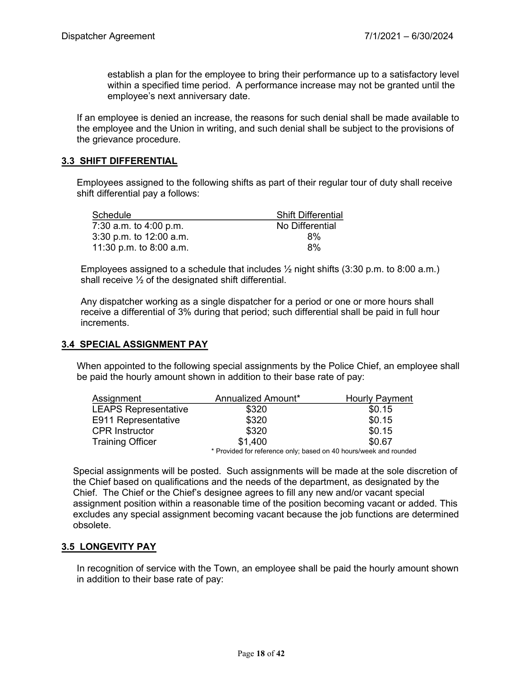establish a plan for the employee to bring their performance up to a satisfactory level within a specified time period. A performance increase may not be granted until the employee's next anniversary date.

If an employee is denied an increase, the reasons for such denial shall be made available to the employee and the Union in writing, and such denial shall be subject to the provisions of the grievance procedure.

## **3.3 SHIFT DIFFERENTIAL**

Employees assigned to the following shifts as part of their regular tour of duty shall receive shift differential pay a follows:

| Schedule                  | <b>Shift Differential</b> |
|---------------------------|---------------------------|
| 7:30 a.m. to 4:00 p.m.    | No Differential           |
| $3:30$ p.m. to 12:00 a.m. | 8%                        |
| 11:30 p.m. to 8:00 a.m.   | 8%                        |

Employees assigned to a schedule that includes  $\frac{1}{2}$  night shifts (3:30 p.m. to 8:00 a.m.) shall receive ½ of the designated shift differential.

Any dispatcher working as a single dispatcher for a period or one or more hours shall receive a differential of 3% during that period; such differential shall be paid in full hour increments.

### **3.4 SPECIAL ASSIGNMENT PAY**

When appointed to the following special assignments by the Police Chief, an employee shall be paid the hourly amount shown in addition to their base rate of pay:

| Assignment                  | Annualized Amount*                                                | <b>Hourly Payment</b> |
|-----------------------------|-------------------------------------------------------------------|-----------------------|
| <b>LEAPS Representative</b> | \$320                                                             | \$0.15                |
| E911 Representative         | \$320                                                             | \$0.15                |
| <b>CPR Instructor</b>       | \$320                                                             | \$0.15                |
| <b>Training Officer</b>     | \$1.400                                                           | \$0.67                |
|                             | * Provided for reference only; based on 40 hours/week and rounded |                       |

Special assignments will be posted. Such assignments will be made at the sole discretion of the Chief based on qualifications and the needs of the department, as designated by the Chief. The Chief or the Chief's designee agrees to fill any new and/or vacant special assignment position within a reasonable time of the position becoming vacant or added. This excludes any special assignment becoming vacant because the job functions are determined obsolete.

### **3.5 LONGEVITY PAY**

In recognition of service with the Town, an employee shall be paid the hourly amount shown in addition to their base rate of pay: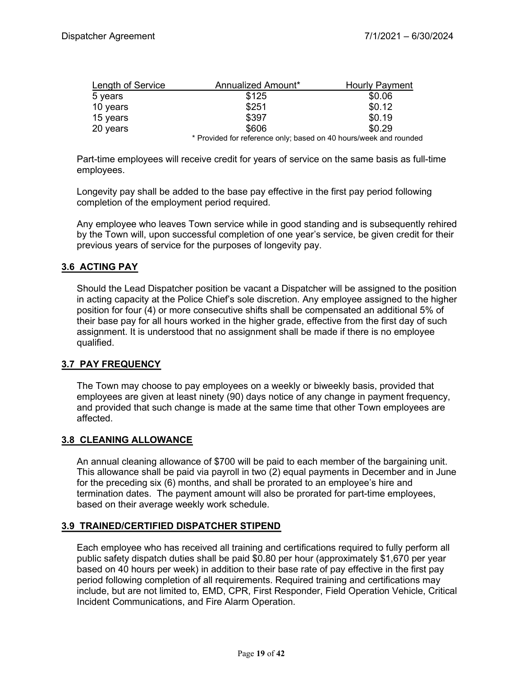| <b>Length of Service</b> | Annualized Amount*                                                                                | <b>Hourly Payment</b> |
|--------------------------|---------------------------------------------------------------------------------------------------|-----------------------|
| 5 years                  | \$125                                                                                             | \$0.06                |
| 10 years                 | \$251                                                                                             | \$0.12                |
| 15 years                 | \$397                                                                                             | \$0.19                |
| 20 years                 | \$606                                                                                             | \$0.29                |
|                          | * Dass date at familie families are as the started and AO to a complete a started marginal at the |                       |

Provided for reference only; based on 40 hours/week and rounded

Part-time employees will receive credit for years of service on the same basis as full-time employees.

Longevity pay shall be added to the base pay effective in the first pay period following completion of the employment period required.

Any employee who leaves Town service while in good standing and is subsequently rehired by the Town will, upon successful completion of one year's service, be given credit for their previous years of service for the purposes of longevity pay.

## **3.6 ACTING PAY**

Should the Lead Dispatcher position be vacant a Dispatcher will be assigned to the position in acting capacity at the Police Chief's sole discretion. Any employee assigned to the higher position for four (4) or more consecutive shifts shall be compensated an additional 5% of their base pay for all hours worked in the higher grade, effective from the first day of such assignment. It is understood that no assignment shall be made if there is no employee qualified.

### **3.7 PAY FREQUENCY**

The Town may choose to pay employees on a weekly or biweekly basis, provided that employees are given at least ninety (90) days notice of any change in payment frequency, and provided that such change is made at the same time that other Town employees are affected.

#### **3.8 CLEANING ALLOWANCE**

An annual cleaning allowance of \$700 will be paid to each member of the bargaining unit. This allowance shall be paid via payroll in two (2) equal payments in December and in June for the preceding six (6) months, and shall be prorated to an employee's hire and termination dates. The payment amount will also be prorated for part-time employees, based on their average weekly work schedule.

#### **3.9 TRAINED/CERTIFIED DISPATCHER STIPEND**

Each employee who has received all training and certifications required to fully perform all public safety dispatch duties shall be paid \$0.80 per hour (approximately \$1,670 per year based on 40 hours per week) in addition to their base rate of pay effective in the first pay period following completion of all requirements. Required training and certifications may include, but are not limited to, EMD, CPR, First Responder, Field Operation Vehicle, Critical Incident Communications, and Fire Alarm Operation.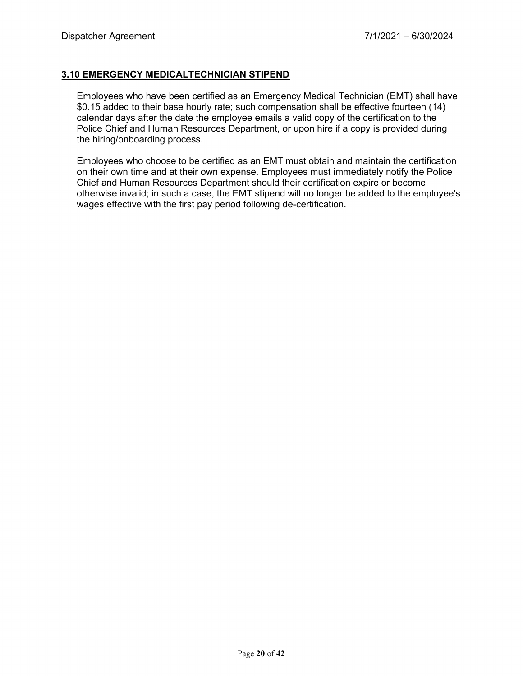## **3.10 EMERGENCY MEDICALTECHNICIAN STIPEND**

Employees who have been certified as an Emergency Medical Technician (EMT) shall have \$0.15 added to their base hourly rate; such compensation shall be effective fourteen (14) calendar days after the date the employee emails a valid copy of the certification to the Police Chief and Human Resources Department, or upon hire if a copy is provided during the hiring/onboarding process.

Employees who choose to be certified as an EMT must obtain and maintain the certification on their own time and at their own expense. Employees must immediately notify the Police Chief and Human Resources Department should their certification expire or become otherwise invalid; in such a case, the EMT stipend will no longer be added to the employee's wages effective with the first pay period following de-certification.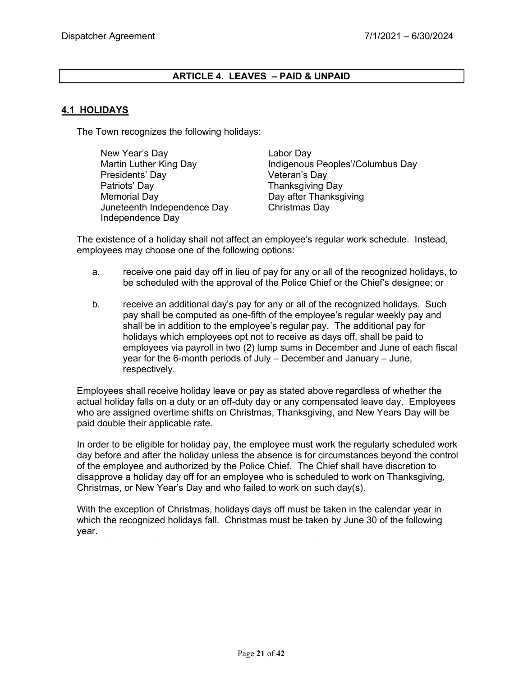## **ARTICLE 4. LEAVES – PAID & UNPAID**

## **4.1 HOLIDAYS**

The Town recognizes the following holidays:

New Year's Day **Labor Day** Presidents' Day **Veteran's Day** Patriots' Day **Thanksgiving Day** Memorial Day **Day after Thanksgiving** Juneteenth Independence Day Christmas Day Independence Day

Martin Luther King Day **Indigenous Peoples'/Columbus Day** 

The existence of a holiday shall not affect an employee's regular work schedule. Instead, employees may choose one of the following options:

- a. receive one paid day off in lieu of pay for any or all of the recognized holidays, to be scheduled with the approval of the Police Chief or the Chief's designee; or
- b. receive an additional day's pay for any or all of the recognized holidays. Such pay shall be computed as one-fifth of the employee's regular weekly pay and shall be in addition to the employee's regular pay. The additional pay for holidays which employees opt not to receive as days off, shall be paid to employees via payroll in two (2) lump sums in December and June of each fiscal year for the 6-month periods of July – December and January – June, respectively.

Employees shall receive holiday leave or pay as stated above regardless of whether the actual holiday falls on a duty or an off-duty day or any compensated leave day. Employees who are assigned overtime shifts on Christmas, Thanksgiving, and New Years Day will be paid double their applicable rate.

In order to be eligible for holiday pay, the employee must work the regularly scheduled work day before and after the holiday unless the absence is for circumstances beyond the control of the employee and authorized by the Police Chief. The Chief shall have discretion to disapprove a holiday day off for an employee who is scheduled to work on Thanksgiving, Christmas, or New Year's Day and who failed to work on such day(s).

With the exception of Christmas, holidays days off must be taken in the calendar year in which the recognized holidays fall. Christmas must be taken by June 30 of the following year.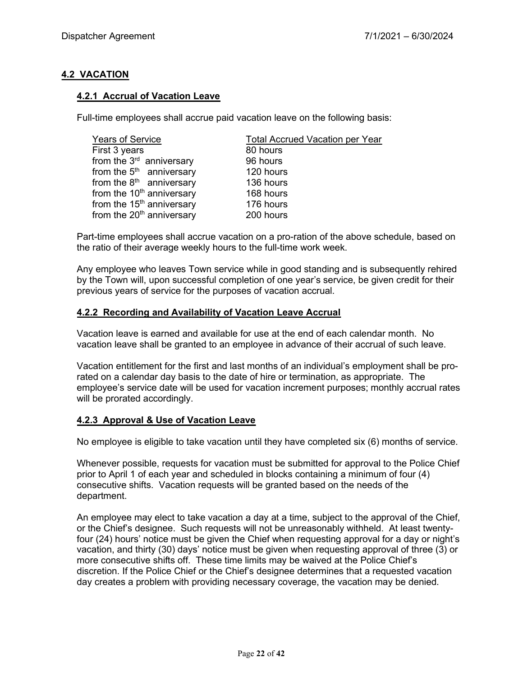## **4.2 VACATION**

## **4.2.1 Accrual of Vacation Leave**

Full-time employees shall accrue paid vacation leave on the following basis:

| <b>Years of Service</b>               | <b>Total Accrued Vacation per Year</b> |
|---------------------------------------|----------------------------------------|
| First 3 years                         | 80 hours                               |
| from the 3 <sup>rd</sup> anniversary  | 96 hours                               |
| from the $5th$ anniversary            | 120 hours                              |
| from the $8th$ anniversary            | 136 hours                              |
| from the 10 <sup>th</sup> anniversary | 168 hours                              |
| from the 15 <sup>th</sup> anniversary | 176 hours                              |
| from the 20 <sup>th</sup> anniversary | 200 hours                              |
|                                       |                                        |

Part-time employees shall accrue vacation on a pro-ration of the above schedule, based on the ratio of their average weekly hours to the full-time work week.

Any employee who leaves Town service while in good standing and is subsequently rehired by the Town will, upon successful completion of one year's service, be given credit for their previous years of service for the purposes of vacation accrual.

### **4.2.2 Recording and Availability of Vacation Leave Accrual**

Vacation leave is earned and available for use at the end of each calendar month. No vacation leave shall be granted to an employee in advance of their accrual of such leave.

Vacation entitlement for the first and last months of an individual's employment shall be prorated on a calendar day basis to the date of hire or termination, as appropriate. The employee's service date will be used for vacation increment purposes; monthly accrual rates will be prorated accordingly.

### **4.2.3 Approval & Use of Vacation Leave**

No employee is eligible to take vacation until they have completed six (6) months of service.

Whenever possible, requests for vacation must be submitted for approval to the Police Chief prior to April 1 of each year and scheduled in blocks containing a minimum of four (4) consecutive shifts. Vacation requests will be granted based on the needs of the department.

An employee may elect to take vacation a day at a time, subject to the approval of the Chief, or the Chief's designee. Such requests will not be unreasonably withheld. At least twentyfour (24) hours' notice must be given the Chief when requesting approval for a day or night's vacation, and thirty (30) days' notice must be given when requesting approval of three (3) or more consecutive shifts off. These time limits may be waived at the Police Chief's discretion. If the Police Chief or the Chief's designee determines that a requested vacation day creates a problem with providing necessary coverage, the vacation may be denied.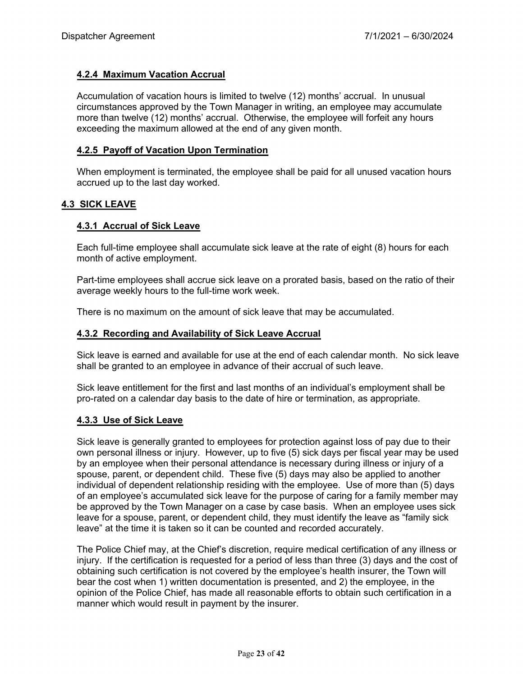#### **4.2.4 Maximum Vacation Accrual**

Accumulation of vacation hours is limited to twelve (12) months' accrual. In unusual circumstances approved by the Town Manager in writing, an employee may accumulate more than twelve (12) months' accrual. Otherwise, the employee will forfeit any hours exceeding the maximum allowed at the end of any given month.

#### **4.2.5 Payoff of Vacation Upon Termination**

When employment is terminated, the employee shall be paid for all unused vacation hours accrued up to the last day worked.

#### **4.3 SICK LEAVE**

#### **4.3.1 Accrual of Sick Leave**

Each full-time employee shall accumulate sick leave at the rate of eight (8) hours for each month of active employment.

Part-time employees shall accrue sick leave on a prorated basis, based on the ratio of their average weekly hours to the full-time work week.

There is no maximum on the amount of sick leave that may be accumulated.

#### **4.3.2 Recording and Availability of Sick Leave Accrual**

Sick leave is earned and available for use at the end of each calendar month. No sick leave shall be granted to an employee in advance of their accrual of such leave.

Sick leave entitlement for the first and last months of an individual's employment shall be pro-rated on a calendar day basis to the date of hire or termination, as appropriate.

#### **4.3.3 Use of Sick Leave**

Sick leave is generally granted to employees for protection against loss of pay due to their own personal illness or injury. However, up to five (5) sick days per fiscal year may be used by an employee when their personal attendance is necessary during illness or injury of a spouse, parent, or dependent child. These five (5) days may also be applied to another individual of dependent relationship residing with the employee. Use of more than (5) days of an employee's accumulated sick leave for the purpose of caring for a family member may be approved by the Town Manager on a case by case basis. When an employee uses sick leave for a spouse, parent, or dependent child, they must identify the leave as "family sick leave" at the time it is taken so it can be counted and recorded accurately.

The Police Chief may, at the Chief's discretion, require medical certification of any illness or injury. If the certification is requested for a period of less than three (3) days and the cost of obtaining such certification is not covered by the employee's health insurer, the Town will bear the cost when 1) written documentation is presented, and 2) the employee, in the opinion of the Police Chief, has made all reasonable efforts to obtain such certification in a manner which would result in payment by the insurer.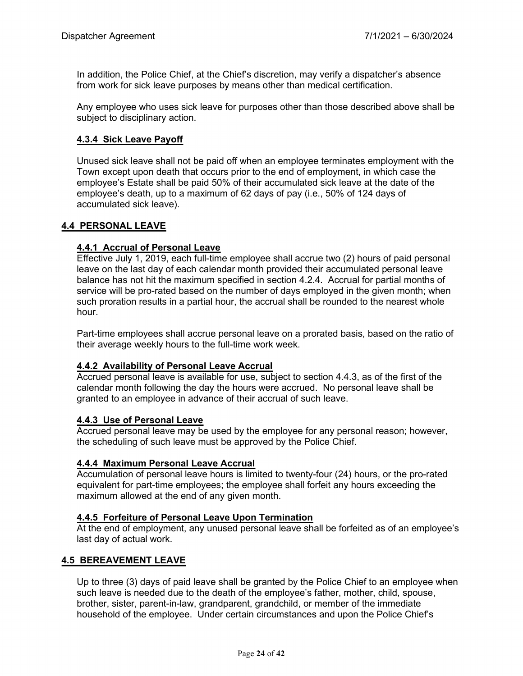In addition, the Police Chief, at the Chief's discretion, may verify a dispatcher's absence from work for sick leave purposes by means other than medical certification.

Any employee who uses sick leave for purposes other than those described above shall be subject to disciplinary action.

## **4.3.4 Sick Leave Payoff**

Unused sick leave shall not be paid off when an employee terminates employment with the Town except upon death that occurs prior to the end of employment, in which case the employee's Estate shall be paid 50% of their accumulated sick leave at the date of the employee's death, up to a maximum of 62 days of pay (i.e., 50% of 124 days of accumulated sick leave).

### **4.4 PERSONAL LEAVE**

### **4.4.1 Accrual of Personal Leave**

Effective July 1, 2019, each full-time employee shall accrue two (2) hours of paid personal leave on the last day of each calendar month provided their accumulated personal leave balance has not hit the maximum specified in section 4.2.4. Accrual for partial months of service will be pro-rated based on the number of days employed in the given month; when such proration results in a partial hour, the accrual shall be rounded to the nearest whole hour.

Part-time employees shall accrue personal leave on a prorated basis, based on the ratio of their average weekly hours to the full-time work week.

### **4.4.2 Availability of Personal Leave Accrual**

Accrued personal leave is available for use, subject to section 4.4.3, as of the first of the calendar month following the day the hours were accrued. No personal leave shall be granted to an employee in advance of their accrual of such leave.

#### **4.4.3 Use of Personal Leave**

Accrued personal leave may be used by the employee for any personal reason; however, the scheduling of such leave must be approved by the Police Chief.

### **4.4.4 Maximum Personal Leave Accrual**

Accumulation of personal leave hours is limited to twenty-four (24) hours, or the pro-rated equivalent for part-time employees; the employee shall forfeit any hours exceeding the maximum allowed at the end of any given month.

#### **4.4.5 Forfeiture of Personal Leave Upon Termination**

At the end of employment, any unused personal leave shall be forfeited as of an employee's last day of actual work.

### **4.5 BEREAVEMENT LEAVE**

Up to three (3) days of paid leave shall be granted by the Police Chief to an employee when such leave is needed due to the death of the employee's father, mother, child, spouse, brother, sister, parent-in-law, grandparent, grandchild, or member of the immediate household of the employee. Under certain circumstances and upon the Police Chief's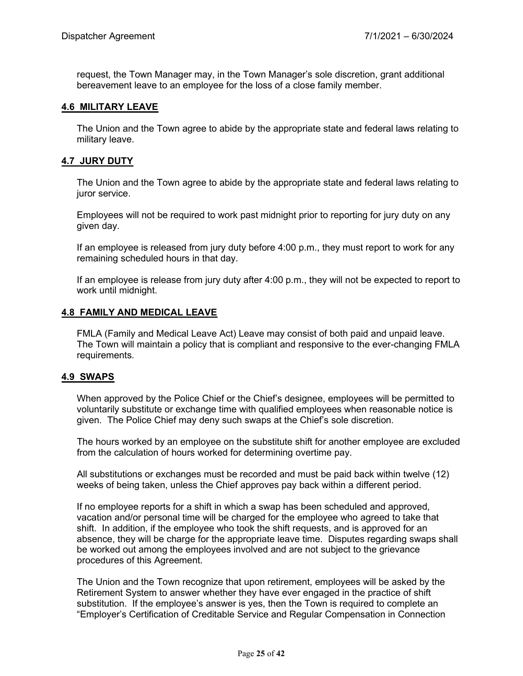request, the Town Manager may, in the Town Manager's sole discretion, grant additional bereavement leave to an employee for the loss of a close family member.

#### **4.6 MILITARY LEAVE**

The Union and the Town agree to abide by the appropriate state and federal laws relating to military leave.

#### **4.7 JURY DUTY**

The Union and the Town agree to abide by the appropriate state and federal laws relating to juror service.

Employees will not be required to work past midnight prior to reporting for jury duty on any given day.

If an employee is released from jury duty before 4:00 p.m., they must report to work for any remaining scheduled hours in that day.

If an employee is release from jury duty after 4:00 p.m., they will not be expected to report to work until midnight.

#### **4.8 FAMILY AND MEDICAL LEAVE**

FMLA (Family and Medical Leave Act) Leave may consist of both paid and unpaid leave. The Town will maintain a policy that is compliant and responsive to the ever-changing FMLA requirements.

#### **4.9 SWAPS**

When approved by the Police Chief or the Chief's designee, employees will be permitted to voluntarily substitute or exchange time with qualified employees when reasonable notice is given. The Police Chief may deny such swaps at the Chief's sole discretion.

The hours worked by an employee on the substitute shift for another employee are excluded from the calculation of hours worked for determining overtime pay.

All substitutions or exchanges must be recorded and must be paid back within twelve (12) weeks of being taken, unless the Chief approves pay back within a different period.

If no employee reports for a shift in which a swap has been scheduled and approved, vacation and/or personal time will be charged for the employee who agreed to take that shift. In addition, if the employee who took the shift requests, and is approved for an absence, they will be charge for the appropriate leave time. Disputes regarding swaps shall be worked out among the employees involved and are not subject to the grievance procedures of this Agreement.

The Union and the Town recognize that upon retirement, employees will be asked by the Retirement System to answer whether they have ever engaged in the practice of shift substitution. If the employee's answer is yes, then the Town is required to complete an "Employer's Certification of Creditable Service and Regular Compensation in Connection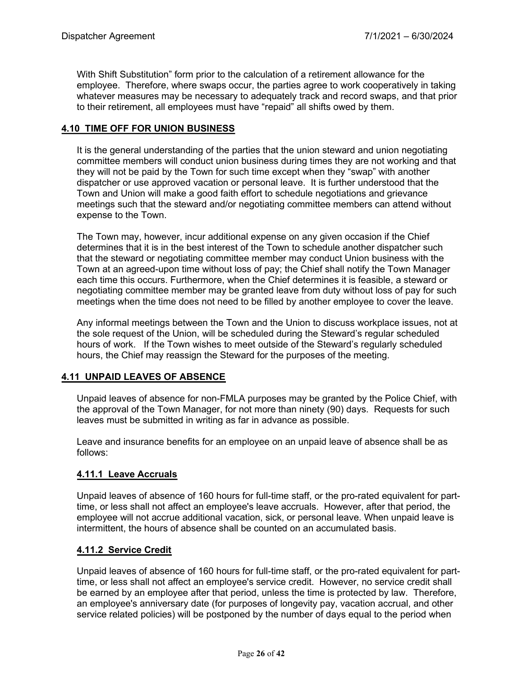With Shift Substitution" form prior to the calculation of a retirement allowance for the employee. Therefore, where swaps occur, the parties agree to work cooperatively in taking whatever measures may be necessary to adequately track and record swaps, and that prior to their retirement, all employees must have "repaid" all shifts owed by them.

## **4.10 TIME OFF FOR UNION BUSINESS**

It is the general understanding of the parties that the union steward and union negotiating committee members will conduct union business during times they are not working and that they will not be paid by the Town for such time except when they "swap" with another dispatcher or use approved vacation or personal leave. It is further understood that the Town and Union will make a good faith effort to schedule negotiations and grievance meetings such that the steward and/or negotiating committee members can attend without expense to the Town.

The Town may, however, incur additional expense on any given occasion if the Chief determines that it is in the best interest of the Town to schedule another dispatcher such that the steward or negotiating committee member may conduct Union business with the Town at an agreed-upon time without loss of pay; the Chief shall notify the Town Manager each time this occurs. Furthermore, when the Chief determines it is feasible, a steward or negotiating committee member may be granted leave from duty without loss of pay for such meetings when the time does not need to be filled by another employee to cover the leave.

Any informal meetings between the Town and the Union to discuss workplace issues, not at the sole request of the Union, will be scheduled during the Steward's regular scheduled hours of work. If the Town wishes to meet outside of the Steward's regularly scheduled hours, the Chief may reassign the Steward for the purposes of the meeting.

## **4.11 UNPAID LEAVES OF ABSENCE**

Unpaid leaves of absence for non-FMLA purposes may be granted by the Police Chief, with the approval of the Town Manager, for not more than ninety (90) days. Requests for such leaves must be submitted in writing as far in advance as possible.

Leave and insurance benefits for an employee on an unpaid leave of absence shall be as follows:

## **4.11.1 Leave Accruals**

Unpaid leaves of absence of 160 hours for full-time staff, or the pro-rated equivalent for parttime, or less shall not affect an employee's leave accruals. However, after that period, the employee will not accrue additional vacation, sick, or personal leave. When unpaid leave is intermittent, the hours of absence shall be counted on an accumulated basis.

## **4.11.2 Service Credit**

Unpaid leaves of absence of 160 hours for full-time staff, or the pro-rated equivalent for parttime, or less shall not affect an employee's service credit. However, no service credit shall be earned by an employee after that period, unless the time is protected by law. Therefore, an employee's anniversary date (for purposes of longevity pay, vacation accrual, and other service related policies) will be postponed by the number of days equal to the period when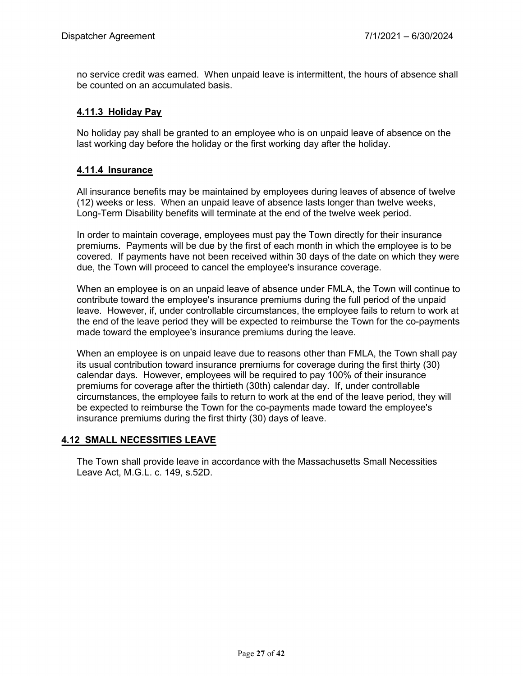no service credit was earned. When unpaid leave is intermittent, the hours of absence shall be counted on an accumulated basis.

## **4.11.3 Holiday Pay**

No holiday pay shall be granted to an employee who is on unpaid leave of absence on the last working day before the holiday or the first working day after the holiday.

## **4.11.4 Insurance**

All insurance benefits may be maintained by employees during leaves of absence of twelve (12) weeks or less. When an unpaid leave of absence lasts longer than twelve weeks, Long-Term Disability benefits will terminate at the end of the twelve week period.

In order to maintain coverage, employees must pay the Town directly for their insurance premiums. Payments will be due by the first of each month in which the employee is to be covered. If payments have not been received within 30 days of the date on which they were due, the Town will proceed to cancel the employee's insurance coverage.

When an employee is on an unpaid leave of absence under FMLA, the Town will continue to contribute toward the employee's insurance premiums during the full period of the unpaid leave. However, if, under controllable circumstances, the employee fails to return to work at the end of the leave period they will be expected to reimburse the Town for the co-payments made toward the employee's insurance premiums during the leave.

When an employee is on unpaid leave due to reasons other than FMLA, the Town shall pay its usual contribution toward insurance premiums for coverage during the first thirty (30) calendar days. However, employees will be required to pay 100% of their insurance premiums for coverage after the thirtieth (30th) calendar day. If, under controllable circumstances, the employee fails to return to work at the end of the leave period, they will be expected to reimburse the Town for the co-payments made toward the employee's insurance premiums during the first thirty (30) days of leave.

### **4.12 SMALL NECESSITIES LEAVE**

The Town shall provide leave in accordance with the Massachusetts Small Necessities Leave Act, M.G.L. c. 149, s.52D.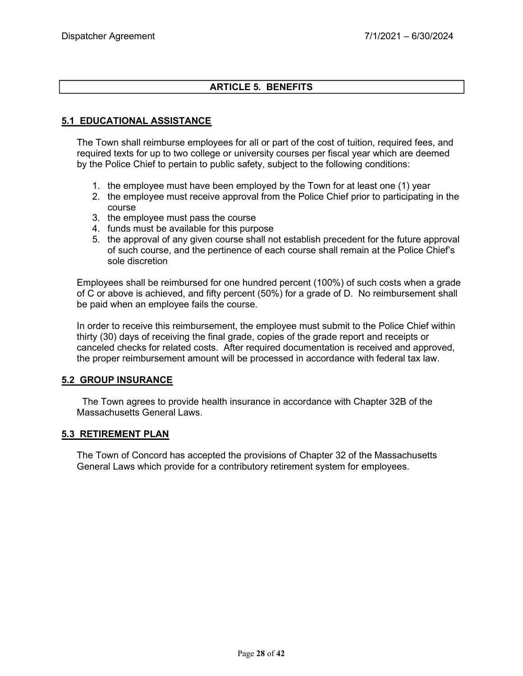## **ARTICLE 5. BENEFITS**

## **5.1 EDUCATIONAL ASSISTANCE**

The Town shall reimburse employees for all or part of the cost of tuition, required fees, and required texts for up to two college or university courses per fiscal year which are deemed by the Police Chief to pertain to public safety, subject to the following conditions:

- 1. the employee must have been employed by the Town for at least one (1) year
- 2. the employee must receive approval from the Police Chief prior to participating in the course
- 3. the employee must pass the course
- 4. funds must be available for this purpose
- 5. the approval of any given course shall not establish precedent for the future approval of such course, and the pertinence of each course shall remain at the Police Chief's sole discretion

Employees shall be reimbursed for one hundred percent (100%) of such costs when a grade of C or above is achieved, and fifty percent (50%) for a grade of D. No reimbursement shall be paid when an employee fails the course.

In order to receive this reimbursement, the employee must submit to the Police Chief within thirty (30) days of receiving the final grade, copies of the grade report and receipts or canceled checks for related costs. After required documentation is received and approved, the proper reimbursement amount will be processed in accordance with federal tax law.

### **5.2 GROUP INSURANCE**

 The Town agrees to provide health insurance in accordance with Chapter 32B of the Massachusetts General Laws

### **5.3 RETIREMENT PLAN**

The Town of Concord has accepted the provisions of Chapter 32 of the Massachusetts General Laws which provide for a contributory retirement system for employees.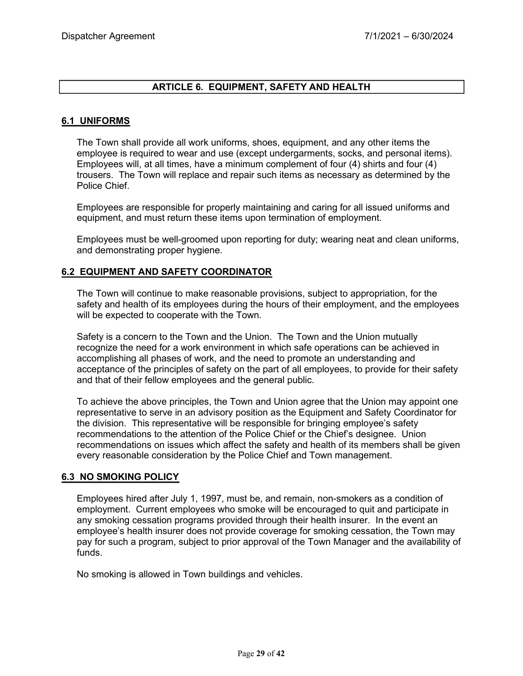### **ARTICLE 6. EQUIPMENT, SAFETY AND HEALTH**

#### **6.1 UNIFORMS**

The Town shall provide all work uniforms, shoes, equipment, and any other items the employee is required to wear and use (except undergarments, socks, and personal items). Employees will, at all times, have a minimum complement of four (4) shirts and four (4) trousers. The Town will replace and repair such items as necessary as determined by the Police Chief.

Employees are responsible for properly maintaining and caring for all issued uniforms and equipment, and must return these items upon termination of employment.

Employees must be well-groomed upon reporting for duty; wearing neat and clean uniforms, and demonstrating proper hygiene.

#### **6.2 EQUIPMENT AND SAFETY COORDINATOR**

The Town will continue to make reasonable provisions, subject to appropriation, for the safety and health of its employees during the hours of their employment, and the employees will be expected to cooperate with the Town.

Safety is a concern to the Town and the Union. The Town and the Union mutually recognize the need for a work environment in which safe operations can be achieved in accomplishing all phases of work, and the need to promote an understanding and acceptance of the principles of safety on the part of all employees, to provide for their safety and that of their fellow employees and the general public.

To achieve the above principles, the Town and Union agree that the Union may appoint one representative to serve in an advisory position as the Equipment and Safety Coordinator for the division. This representative will be responsible for bringing employee's safety recommendations to the attention of the Police Chief or the Chief's designee. Union recommendations on issues which affect the safety and health of its members shall be given every reasonable consideration by the Police Chief and Town management.

#### **6.3 NO SMOKING POLICY**

Employees hired after July 1, 1997, must be, and remain, non-smokers as a condition of employment. Current employees who smoke will be encouraged to quit and participate in any smoking cessation programs provided through their health insurer. In the event an employee's health insurer does not provide coverage for smoking cessation, the Town may pay for such a program, subject to prior approval of the Town Manager and the availability of funds.

No smoking is allowed in Town buildings and vehicles.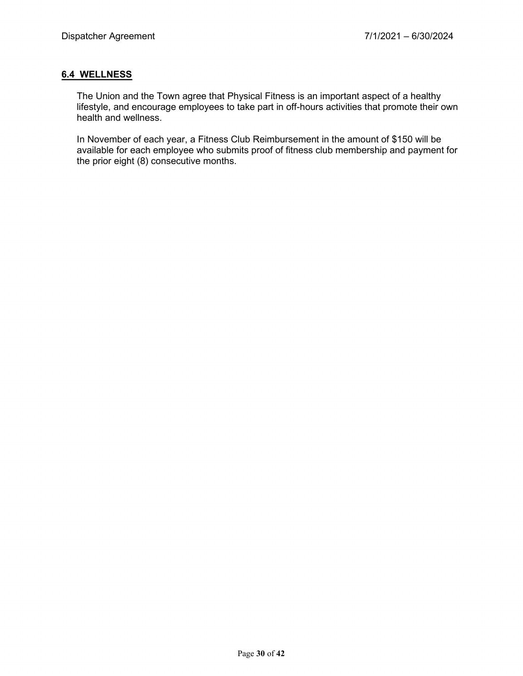## **6.4 WELLNESS**

The Union and the Town agree that Physical Fitness is an important aspect of a healthy lifestyle, and encourage employees to take part in off-hours activities that promote their own health and wellness.

In November of each year, a Fitness Club Reimbursement in the amount of \$150 will be available for each employee who submits proof of fitness club membership and payment for the prior eight (8) consecutive months.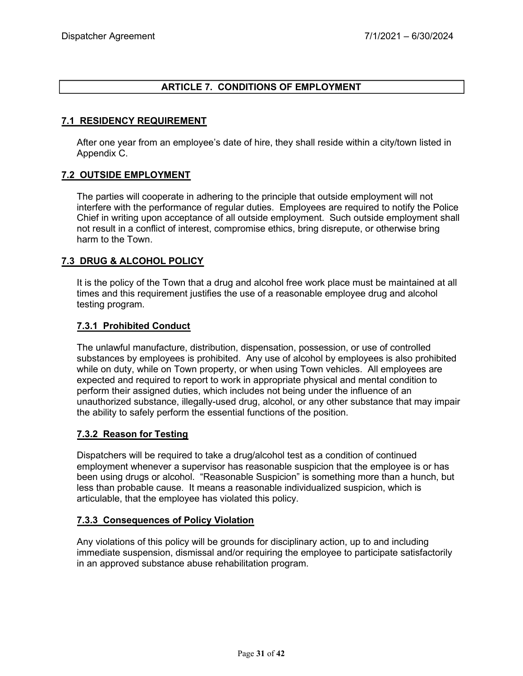## **ARTICLE 7. CONDITIONS OF EMPLOYMENT**

### **7.1 RESIDENCY REQUIREMENT**

After one year from an employee's date of hire, they shall reside within a city/town listed in Appendix C.

#### **7.2 OUTSIDE EMPLOYMENT**

The parties will cooperate in adhering to the principle that outside employment will not interfere with the performance of regular duties. Employees are required to notify the Police Chief in writing upon acceptance of all outside employment. Such outside employment shall not result in a conflict of interest, compromise ethics, bring disrepute, or otherwise bring harm to the Town.

### **7.3 DRUG & ALCOHOL POLICY**

It is the policy of the Town that a drug and alcohol free work place must be maintained at all times and this requirement justifies the use of a reasonable employee drug and alcohol testing program.

### **7.3.1 Prohibited Conduct**

The unlawful manufacture, distribution, dispensation, possession, or use of controlled substances by employees is prohibited. Any use of alcohol by employees is also prohibited while on duty, while on Town property, or when using Town vehicles. All employees are expected and required to report to work in appropriate physical and mental condition to perform their assigned duties, which includes not being under the influence of an unauthorized substance, illegally-used drug, alcohol, or any other substance that may impair the ability to safely perform the essential functions of the position.

### **7.3.2 Reason for Testing**

Dispatchers will be required to take a drug/alcohol test as a condition of continued employment whenever a supervisor has reasonable suspicion that the employee is or has been using drugs or alcohol. "Reasonable Suspicion" is something more than a hunch, but less than probable cause. It means a reasonable individualized suspicion, which is articulable, that the employee has violated this policy.

#### **7.3.3 Consequences of Policy Violation**

Any violations of this policy will be grounds for disciplinary action, up to and including immediate suspension, dismissal and/or requiring the employee to participate satisfactorily in an approved substance abuse rehabilitation program.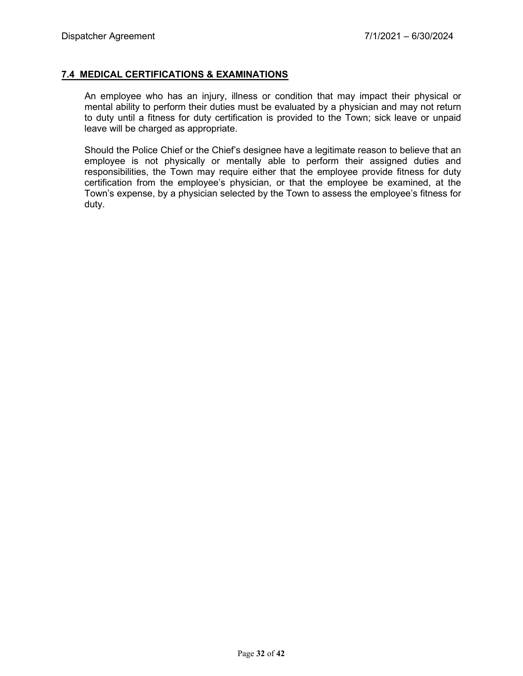#### **7.4 MEDICAL CERTIFICATIONS & EXAMINATIONS**

An employee who has an injury, illness or condition that may impact their physical or mental ability to perform their duties must be evaluated by a physician and may not return to duty until a fitness for duty certification is provided to the Town; sick leave or unpaid leave will be charged as appropriate.

Should the Police Chief or the Chief's designee have a legitimate reason to believe that an employee is not physically or mentally able to perform their assigned duties and responsibilities, the Town may require either that the employee provide fitness for duty certification from the employee's physician, or that the employee be examined, at the Town's expense, by a physician selected by the Town to assess the employee's fitness for duty.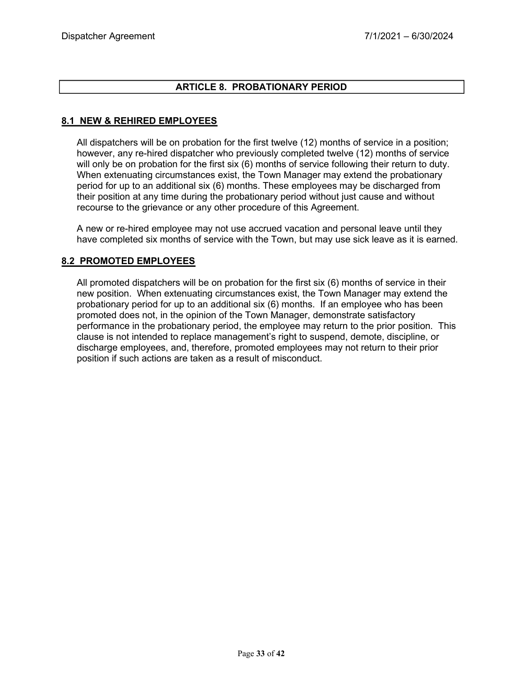## **ARTICLE 8. PROBATIONARY PERIOD**

## **8.1 NEW & REHIRED EMPLOYEES**

All dispatchers will be on probation for the first twelve (12) months of service in a position; however, any re-hired dispatcher who previously completed twelve (12) months of service will only be on probation for the first six (6) months of service following their return to duty. When extenuating circumstances exist, the Town Manager may extend the probationary period for up to an additional six (6) months. These employees may be discharged from their position at any time during the probationary period without just cause and without recourse to the grievance or any other procedure of this Agreement.

A new or re-hired employee may not use accrued vacation and personal leave until they have completed six months of service with the Town, but may use sick leave as it is earned.

### **8.2 PROMOTED EMPLOYEES**

All promoted dispatchers will be on probation for the first six (6) months of service in their new position. When extenuating circumstances exist, the Town Manager may extend the probationary period for up to an additional six (6) months. If an employee who has been promoted does not, in the opinion of the Town Manager, demonstrate satisfactory performance in the probationary period, the employee may return to the prior position. This clause is not intended to replace management's right to suspend, demote, discipline, or discharge employees, and, therefore, promoted employees may not return to their prior position if such actions are taken as a result of misconduct.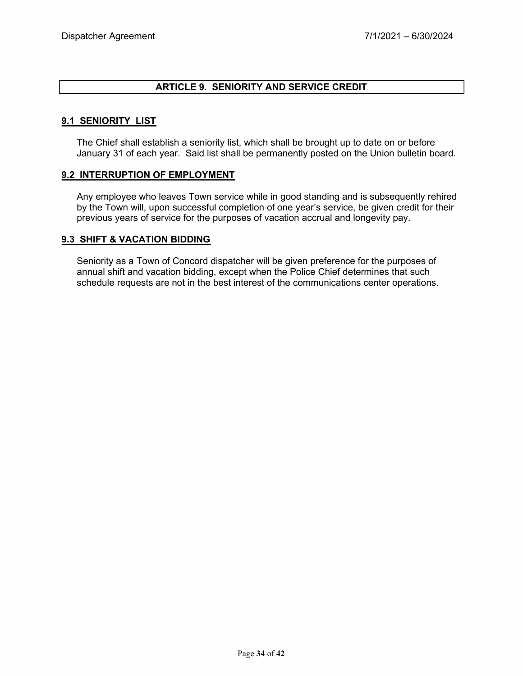### **ARTICLE 9. SENIORITY AND SERVICE CREDIT**

#### **9.1 SENIORITY LIST**

The Chief shall establish a seniority list, which shall be brought up to date on or before January 31 of each year. Said list shall be permanently posted on the Union bulletin board.

#### **9.2 INTERRUPTION OF EMPLOYMENT**

Any employee who leaves Town service while in good standing and is subsequently rehired by the Town will, upon successful completion of one year's service, be given credit for their previous years of service for the purposes of vacation accrual and longevity pay.

#### **9.3 SHIFT & VACATION BIDDING**

Seniority as a Town of Concord dispatcher will be given preference for the purposes of annual shift and vacation bidding, except when the Police Chief determines that such schedule requests are not in the best interest of the communications center operations.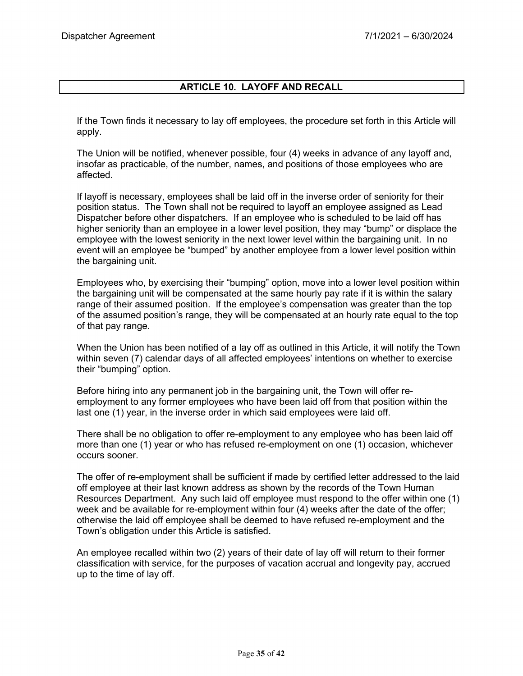## **ARTICLE 10. LAYOFF AND RECALL**

If the Town finds it necessary to lay off employees, the procedure set forth in this Article will apply.

The Union will be notified, whenever possible, four (4) weeks in advance of any layoff and, insofar as practicable, of the number, names, and positions of those employees who are affected.

If layoff is necessary, employees shall be laid off in the inverse order of seniority for their position status. The Town shall not be required to layoff an employee assigned as Lead Dispatcher before other dispatchers. If an employee who is scheduled to be laid off has higher seniority than an employee in a lower level position, they may "bump" or displace the employee with the lowest seniority in the next lower level within the bargaining unit. In no event will an employee be "bumped" by another employee from a lower level position within the bargaining unit.

Employees who, by exercising their "bumping" option, move into a lower level position within the bargaining unit will be compensated at the same hourly pay rate if it is within the salary range of their assumed position. If the employee's compensation was greater than the top of the assumed position's range, they will be compensated at an hourly rate equal to the top of that pay range.

When the Union has been notified of a lay off as outlined in this Article, it will notify the Town within seven (7) calendar days of all affected employees' intentions on whether to exercise their "bumping" option.

Before hiring into any permanent job in the bargaining unit, the Town will offer reemployment to any former employees who have been laid off from that position within the last one (1) year, in the inverse order in which said employees were laid off.

There shall be no obligation to offer re-employment to any employee who has been laid off more than one (1) year or who has refused re-employment on one (1) occasion, whichever occurs sooner.

The offer of re-employment shall be sufficient if made by certified letter addressed to the laid off employee at their last known address as shown by the records of the Town Human Resources Department. Any such laid off employee must respond to the offer within one (1) week and be available for re-employment within four (4) weeks after the date of the offer; otherwise the laid off employee shall be deemed to have refused re-employment and the Town's obligation under this Article is satisfied.

An employee recalled within two (2) years of their date of lay off will return to their former classification with service, for the purposes of vacation accrual and longevity pay, accrued up to the time of lay off.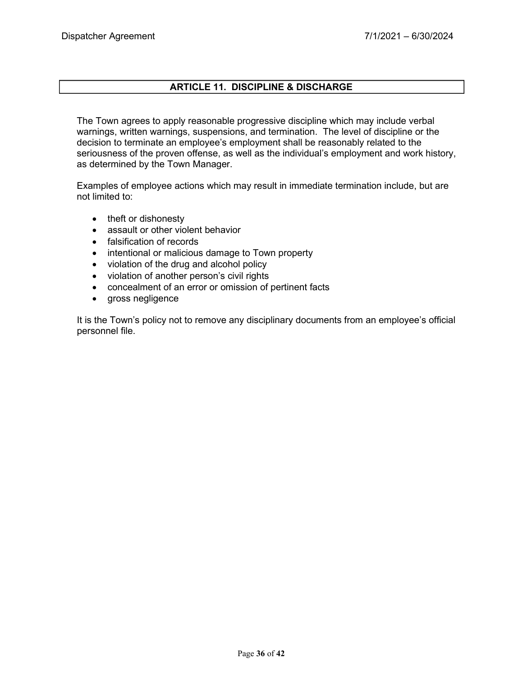## **ARTICLE 11. DISCIPLINE & DISCHARGE**

The Town agrees to apply reasonable progressive discipline which may include verbal warnings, written warnings, suspensions, and termination. The level of discipline or the decision to terminate an employee's employment shall be reasonably related to the seriousness of the proven offense, as well as the individual's employment and work history, as determined by the Town Manager.

Examples of employee actions which may result in immediate termination include, but are not limited to:

- theft or dishonesty
- assault or other violent behavior
- falsification of records
- intentional or malicious damage to Town property
- violation of the drug and alcohol policy
- violation of another person's civil rights
- concealment of an error or omission of pertinent facts
- gross negligence

It is the Town's policy not to remove any disciplinary documents from an employee's official personnel file.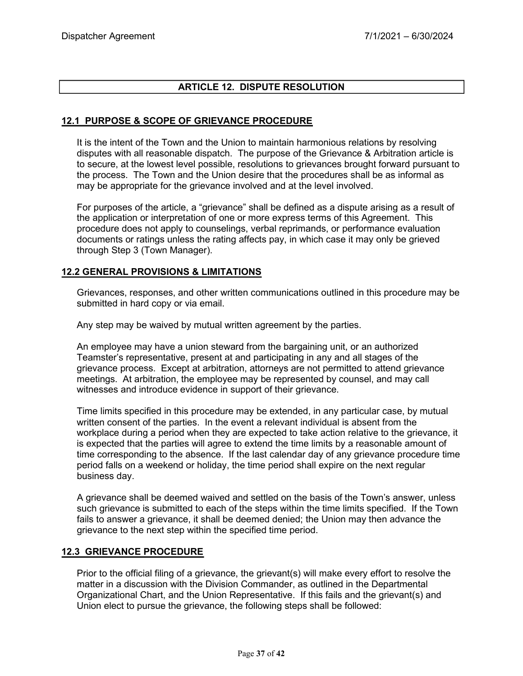## **ARTICLE 12. DISPUTE RESOLUTION**

## **12.1 PURPOSE & SCOPE OF GRIEVANCE PROCEDURE**

It is the intent of the Town and the Union to maintain harmonious relations by resolving disputes with all reasonable dispatch. The purpose of the Grievance & Arbitration article is to secure, at the lowest level possible, resolutions to grievances brought forward pursuant to the process. The Town and the Union desire that the procedures shall be as informal as may be appropriate for the grievance involved and at the level involved.

For purposes of the article, a "grievance" shall be defined as a dispute arising as a result of the application or interpretation of one or more express terms of this Agreement. This procedure does not apply to counselings, verbal reprimands, or performance evaluation documents or ratings unless the rating affects pay, in which case it may only be grieved through Step 3 (Town Manager).

## **12.2 GENERAL PROVISIONS & LIMITATIONS**

Grievances, responses, and other written communications outlined in this procedure may be submitted in hard copy or via email.

Any step may be waived by mutual written agreement by the parties.

An employee may have a union steward from the bargaining unit, or an authorized Teamster's representative, present at and participating in any and all stages of the grievance process. Except at arbitration, attorneys are not permitted to attend grievance meetings. At arbitration, the employee may be represented by counsel, and may call witnesses and introduce evidence in support of their grievance.

Time limits specified in this procedure may be extended, in any particular case, by mutual written consent of the parties. In the event a relevant individual is absent from the workplace during a period when they are expected to take action relative to the grievance, it is expected that the parties will agree to extend the time limits by a reasonable amount of time corresponding to the absence. If the last calendar day of any grievance procedure time period falls on a weekend or holiday, the time period shall expire on the next regular business day.

A grievance shall be deemed waived and settled on the basis of the Town's answer, unless such grievance is submitted to each of the steps within the time limits specified. If the Town fails to answer a grievance, it shall be deemed denied; the Union may then advance the grievance to the next step within the specified time period.

### **12.3 GRIEVANCE PROCEDURE**

Prior to the official filing of a grievance, the grievant(s) will make every effort to resolve the matter in a discussion with the Division Commander, as outlined in the Departmental Organizational Chart, and the Union Representative. If this fails and the grievant(s) and Union elect to pursue the grievance, the following steps shall be followed: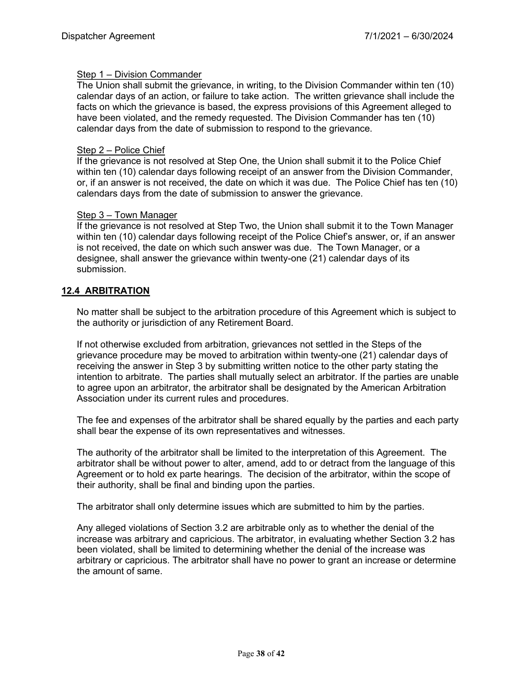#### Step 1 – Division Commander

The Union shall submit the grievance, in writing, to the Division Commander within ten (10) calendar days of an action, or failure to take action. The written grievance shall include the facts on which the grievance is based, the express provisions of this Agreement alleged to have been violated, and the remedy requested. The Division Commander has ten (10) calendar days from the date of submission to respond to the grievance.

#### Step 2 – Police Chief

If the grievance is not resolved at Step One, the Union shall submit it to the Police Chief within ten (10) calendar days following receipt of an answer from the Division Commander, or, if an answer is not received, the date on which it was due. The Police Chief has ten (10) calendars days from the date of submission to answer the grievance.

#### Step 3 – Town Manager

If the grievance is not resolved at Step Two, the Union shall submit it to the Town Manager within ten (10) calendar days following receipt of the Police Chief's answer, or, if an answer is not received, the date on which such answer was due. The Town Manager, or a designee, shall answer the grievance within twenty-one (21) calendar days of its submission.

## **12.4 ARBITRATION**

No matter shall be subject to the arbitration procedure of this Agreement which is subject to the authority or jurisdiction of any Retirement Board.

If not otherwise excluded from arbitration, grievances not settled in the Steps of the grievance procedure may be moved to arbitration within twenty-one (21) calendar days of receiving the answer in Step 3 by submitting written notice to the other party stating the intention to arbitrate. The parties shall mutually select an arbitrator. If the parties are unable to agree upon an arbitrator, the arbitrator shall be designated by the American Arbitration Association under its current rules and procedures.

The fee and expenses of the arbitrator shall be shared equally by the parties and each party shall bear the expense of its own representatives and witnesses.

The authority of the arbitrator shall be limited to the interpretation of this Agreement. The arbitrator shall be without power to alter, amend, add to or detract from the language of this Agreement or to hold ex parte hearings. The decision of the arbitrator, within the scope of their authority, shall be final and binding upon the parties.

The arbitrator shall only determine issues which are submitted to him by the parties.

Any alleged violations of Section 3.2 are arbitrable only as to whether the denial of the increase was arbitrary and capricious. The arbitrator, in evaluating whether Section 3.2 has been violated, shall be limited to determining whether the denial of the increase was arbitrary or capricious. The arbitrator shall have no power to grant an increase or determine the amount of same.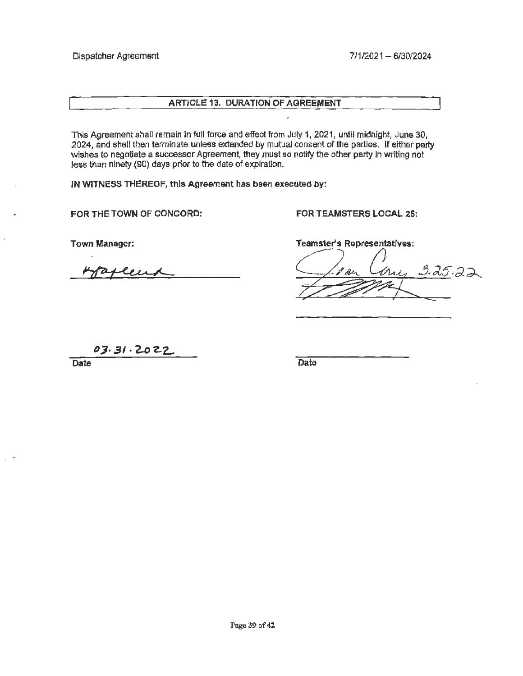#### **ARTICLE 13, DURATION OF AGREEMENT**

This Agreement shall remain in full force and effect from July 1, 2021, until midnight, June 30, 2024, and shall then terminate unless extended by mutual consent of the parties. If either party wishes to negotiate a successor Agreement, they must so notify the other party ln writing not less than ninety (90} days prior to the date of expiration.

**IN WITNESS THEREOF, this Agreement has been executed by:** 

**FORTHETOWN OF CONCORD: FOR TEAMSTERS LOCAL 26:** 

Town Manager:

R THE TOWN OF CONCORD:<br>wn Manager:<br>hyperplement

Teamster's Representatives:

3.25.22

03.31.2022

Date Date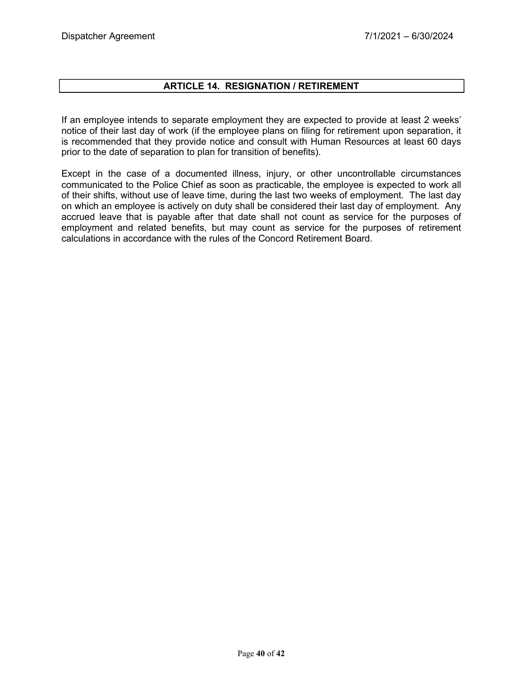## **ARTICLE 14. RESIGNATION / RETIREMENT**

If an employee intends to separate employment they are expected to provide at least 2 weeks' notice of their last day of work (if the employee plans on filing for retirement upon separation, it is recommended that they provide notice and consult with Human Resources at least 60 days prior to the date of separation to plan for transition of benefits).

Except in the case of a documented illness, injury, or other uncontrollable circumstances communicated to the Police Chief as soon as practicable, the employee is expected to work all of their shifts, without use of leave time, during the last two weeks of employment. The last day on which an employee is actively on duty shall be considered their last day of employment. Any accrued leave that is payable after that date shall not count as service for the purposes of employment and related benefits, but may count as service for the purposes of retirement calculations in accordance with the rules of the Concord Retirement Board.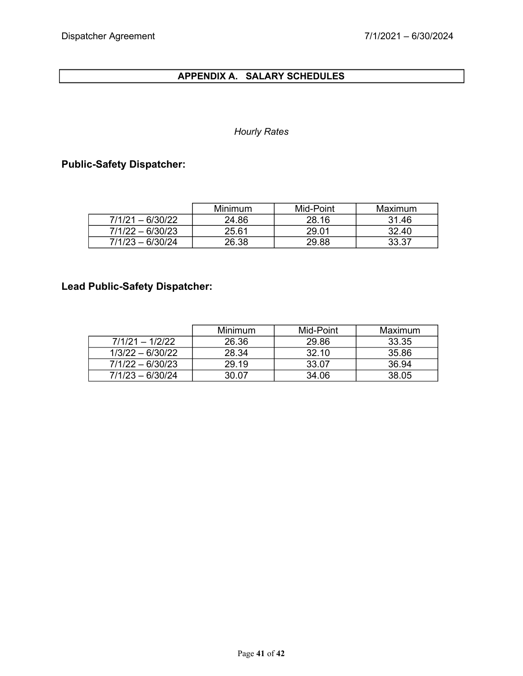## **APPENDIX A. SALARY SCHEDULES**

## *Hourly Rates*

## **Public-Safety Dispatcher:**

|                    | <b>Minimum</b> | Mid-Point | Maximum |
|--------------------|----------------|-----------|---------|
| $7/1/21 - 6/30/22$ | 24.86          | 28.16     | 31.46   |
| $7/1/22 - 6/30/23$ | 25.61          | 29.01     | 32.40   |
| $7/1/23 - 6/30/24$ | 26.38          | 29.88     | 33.37   |

# **Lead Public-Safety Dispatcher:**

|                    | Minimum | Mid-Point | Maximum |
|--------------------|---------|-----------|---------|
| $7/1/21 - 1/2/22$  | 26.36   | 29.86     | 33.35   |
| $1/3/22 - 6/30/22$ | 28.34   | 32.10     | 35.86   |
| $7/1/22 - 6/30/23$ | 29 19   | 33.07     | 36.94   |
| $7/1/23 - 6/30/24$ | 30.07   | 34.06     | 38.05   |